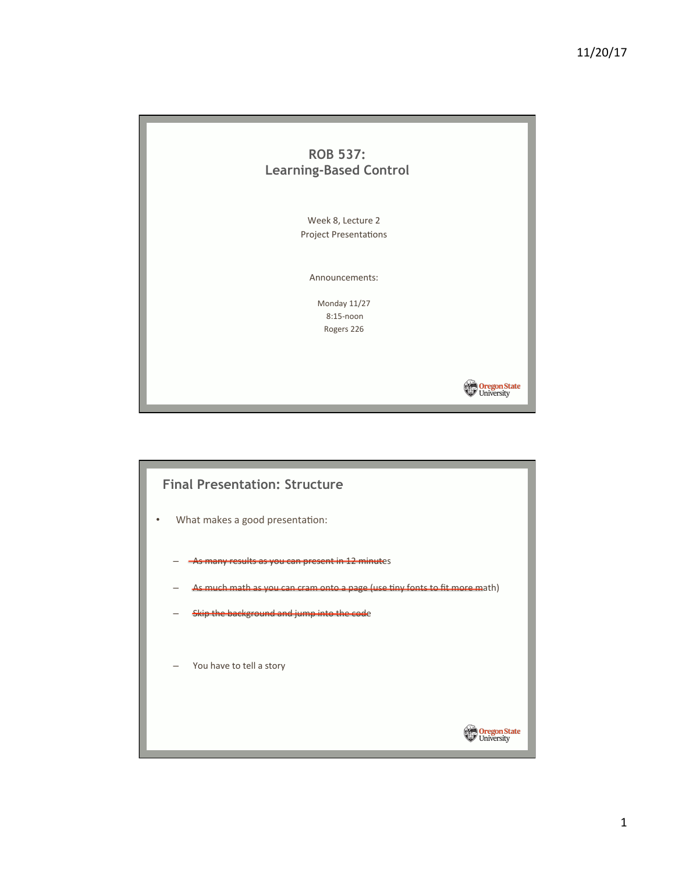

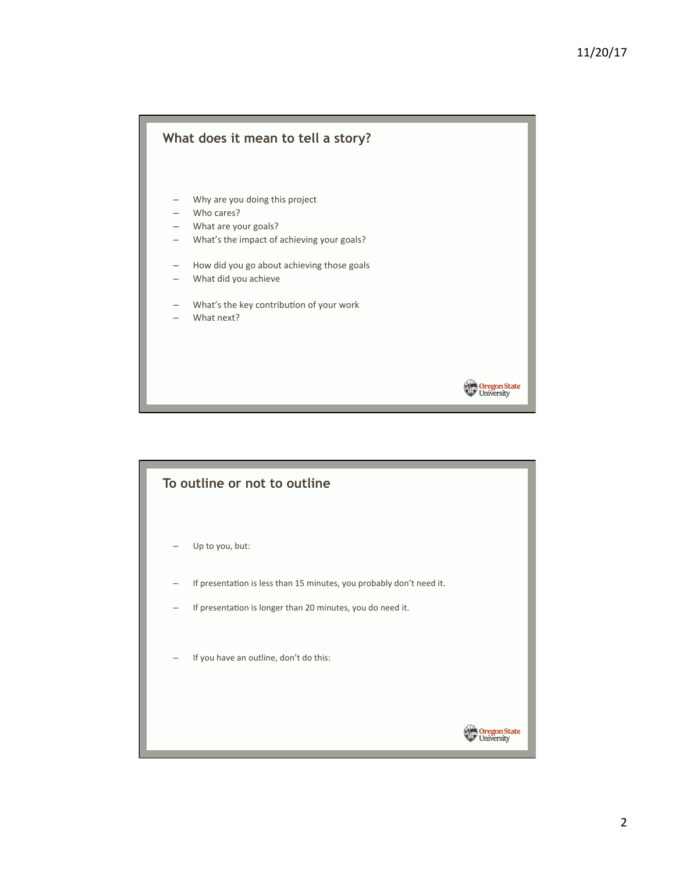

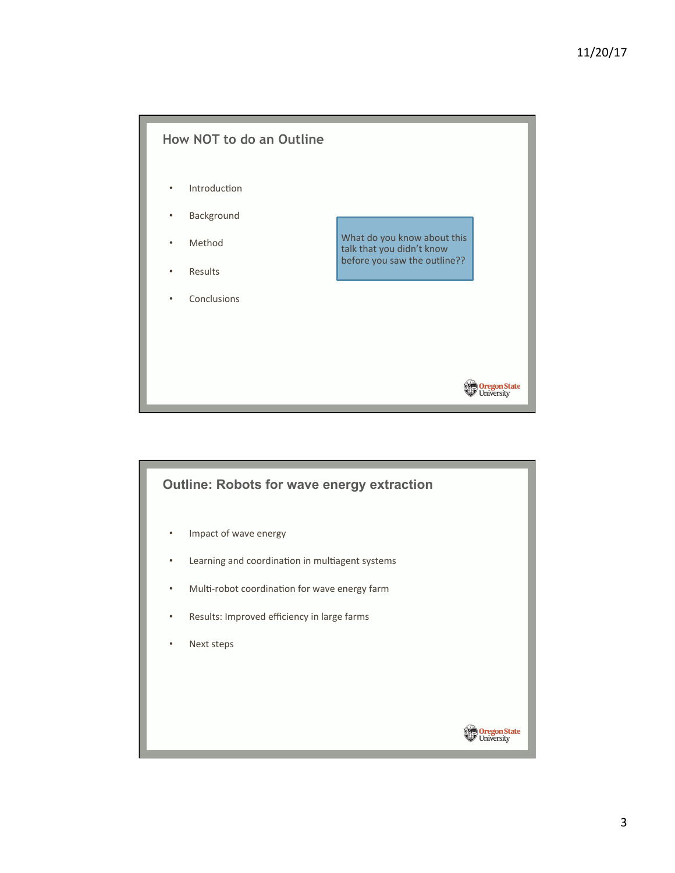

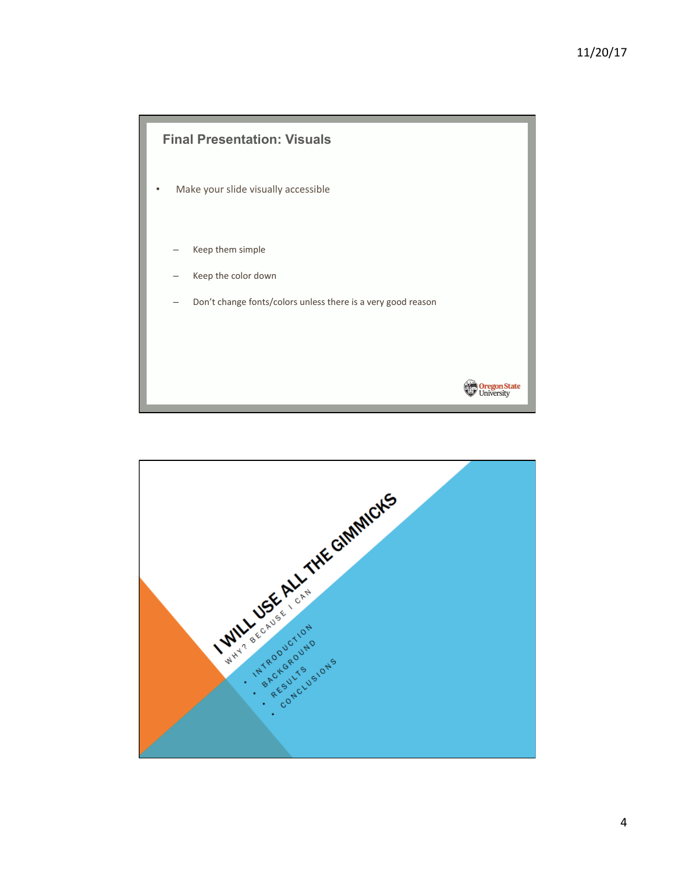

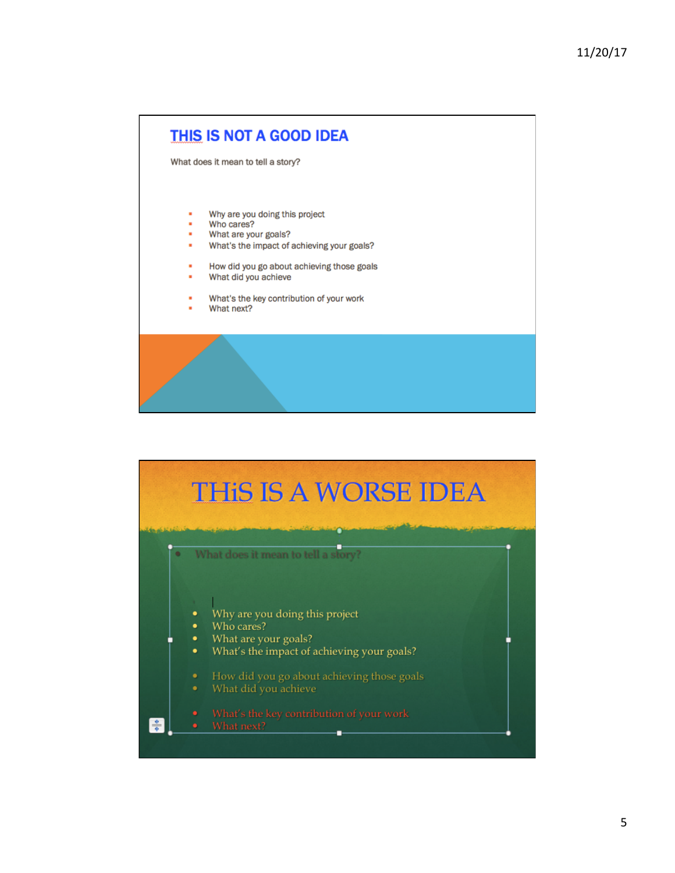